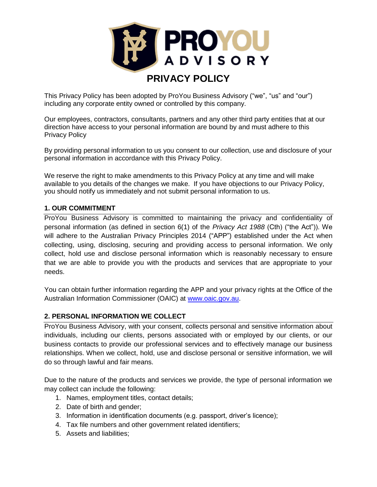

# **PRIVACY POLICY**

This Privacy Policy has been adopted by ProYou Business Advisory ("we", "us" and "our") including any corporate entity owned or controlled by this company.

Our employees, contractors, consultants, partners and any other third party entities that at our direction have access to your personal information are bound by and must adhere to this Privacy Policy

By providing personal information to us you consent to our collection, use and disclosure of your personal information in accordance with this Privacy Policy.

We reserve the right to make amendments to this Privacy Policy at any time and will make available to you details of the changes we make. If you have objections to our Privacy Policy, you should notify us immediately and not submit personal information to us.

#### **1. OUR COMMITMENT**

ProYou Business Advisory is committed to maintaining the privacy and confidentiality of personal information (as defined in section 6(1) of the *Privacy Act 1988* (Cth) ("the Act")). We will adhere to the Australian Privacy Principles 2014 ("APP") established under the Act when collecting, using, disclosing, securing and providing access to personal information. We only collect, hold use and disclose personal information which is reasonably necessary to ensure that we are able to provide you with the products and services that are appropriate to your needs.

You can obtain further information regarding the APP and your privacy rights at the Office of the Australian Information Commissioner (OAIC) at [www.oaic.gov.au.](http://www.oaic.gov.au/)

#### **2. PERSONAL INFORMATION WE COLLECT**

ProYou Business Advisory, with your consent, collects personal and sensitive information about individuals, including our clients, persons associated with or employed by our clients, or our business contacts to provide our professional services and to effectively manage our business relationships. When we collect, hold, use and disclose personal or sensitive information, we will do so through lawful and fair means.

Due to the nature of the products and services we provide, the type of personal information we may collect can include the following:

- 1. Names, employment titles, contact details;
- 2. Date of birth and gender;
- 3. Information in identification documents (e.g. passport, driver's licence);
- 4. Tax file numbers and other government related identifiers;
- 5. Assets and liabilities;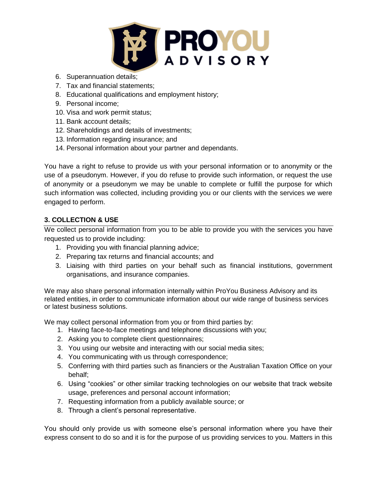

- 6. Superannuation details;
- 7. Tax and financial statements;
- 8. Educational qualifications and employment history;
- 9. Personal income;
- 10. Visa and work permit status;
- 11. Bank account details;
- 12. Shareholdings and details of investments;
- 13. Information regarding insurance; and
- 14. Personal information about your partner and dependants.

You have a right to refuse to provide us with your personal information or to anonymity or the use of a pseudonym. However, if you do refuse to provide such information, or request the use of anonymity or a pseudonym we may be unable to complete or fulfill the purpose for which such information was collected, including providing you or our clients with the services we were engaged to perform.

## **3. COLLECTION & USE**

We collect personal information from you to be able to provide you with the services you have requested us to provide including:

- 1. Providing you with financial planning advice;
- 2. Preparing tax returns and financial accounts; and
- 3. Liaising with third parties on your behalf such as financial institutions, government organisations, and insurance companies.

We may also share personal information internally within ProYou Business Advisory and its related entities, in order to communicate information about our wide range of business services or latest business solutions.

We may collect personal information from you or from third parties by:

- 1. Having face-to-face meetings and telephone discussions with you;
- 2. Asking you to complete client questionnaires;
- 3. You using our website and interacting with our social media sites;
- 4. You communicating with us through correspondence;
- 5. Conferring with third parties such as financiers or the Australian Taxation Office on your behalf;
- 6. Using "cookies" or other similar tracking technologies on our website that track website usage, preferences and personal account information;
- 7. Requesting information from a publicly available source; or
- 8. Through a client's personal representative.

You should only provide us with someone else's personal information where you have their express consent to do so and it is for the purpose of us providing services to you. Matters in this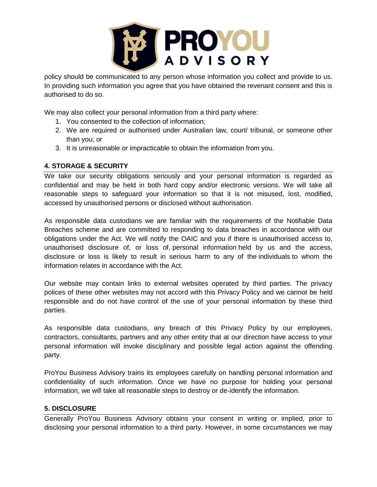

policy should be communicated to any person whose information you collect and provide to us. In providing such information you agree that you have obtained the revenant consent and this is authorised to do so.

We may also collect your personal information from a third party where:

- 1. You consented to the collection of information;
- 2. We are required or authorised under Australian law, court/ tribunal, or someone other than you; or
- 3. It is unreasonable or impracticable to obtain the information from you.

### **4. STORAGE & SECURITY**

We take our security obligations seriously and your personal information is regarded as confidential and may be held in both hard copy and/or electronic versions. We will take all reasonable steps to safeguard your information so that it is not misused, lost, modified, accessed by unauthorised persons or disclosed without authorisation.

As responsible data custodians we are familiar with the requirements of the Notifiable Data Breaches scheme and are committed to responding to data breaches in accordance with our obligations under the Act. We will notify the OAIC and you if there is unauthorised access to, unauthorised disclosure of, or loss of, personal information held by us and the access, disclosure or loss is likely to result in serious harm to any of the individuals to whom the information relates in accordance with the Act.

Our website may contain links to external websites operated by third parties. The privacy polices of these other websites may not accord with this Privacy Policy and we cannot be held responsible and do not have control of the use of your personal information by these third parties.

As responsible data custodians, any breach of this Privacy Policy by our employees, contractors, consultants, partners and any other entity that at our direction have access to your personal information will invoke disciplinary and possible legal action against the offending party.

ProYou Business Advisory trains its employees carefully on handling personal information and confidentiality of such information. Once we have no purpose for holding your personal information, we will take all reasonable steps to destroy or de-identify the information.

### **5. DISCLOSURE**

Generally ProYou Business Advisory obtains your consent in writing or implied, prior to disclosing your personal information to a third party. However, in some circumstances we may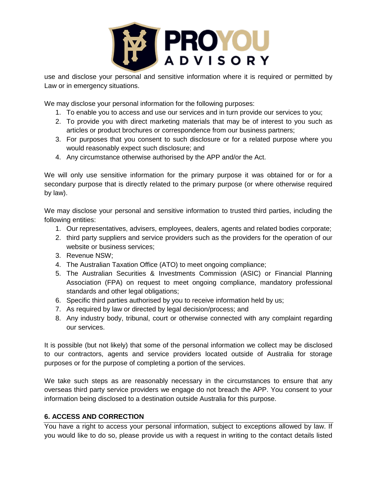

use and disclose your personal and sensitive information where it is required or permitted by Law or in emergency situations.

We may disclose your personal information for the following purposes:

- 1. To enable you to access and use our services and in turn provide our services to you;
- 2. To provide you with direct marketing materials that may be of interest to you such as articles or product brochures or correspondence from our business partners;
- 3. For purposes that you consent to such disclosure or for a related purpose where you would reasonably expect such disclosure; and
- 4. Any circumstance otherwise authorised by the APP and/or the Act.

We will only use sensitive information for the primary purpose it was obtained for or for a secondary purpose that is directly related to the primary purpose (or where otherwise required by law).

We may disclose your personal and sensitive information to trusted third parties, including the following entities:

- 1. Our representatives, advisers, employees, dealers, agents and related bodies corporate;
- 2. third party suppliers and service providers such as the providers for the operation of our website or business services;
- 3. Revenue NSW;
- 4. The Australian Taxation Office (ATO) to meet ongoing compliance;
- 5. The Australian Securities & Investments Commission (ASIC) or Financial Planning Association (FPA) on request to meet ongoing compliance, mandatory professional standards and other legal obligations;
- 6. Specific third parties authorised by you to receive information held by us;
- 7. As required by law or directed by legal decision/process; and
- 8. Any industry body, tribunal, court or otherwise connected with any complaint regarding our services.

It is possible (but not likely) that some of the personal information we collect may be disclosed to our contractors, agents and service providers located outside of Australia for storage purposes or for the purpose of completing a portion of the services.

We take such steps as are reasonably necessary in the circumstances to ensure that any overseas third party service providers we engage do not breach the APP. You consent to your information being disclosed to a destination outside Australia for this purpose.

### **6. ACCESS AND CORRECTION**

You have a right to access your personal information, subject to exceptions allowed by law. If you would like to do so, please provide us with a request in writing to the contact details listed